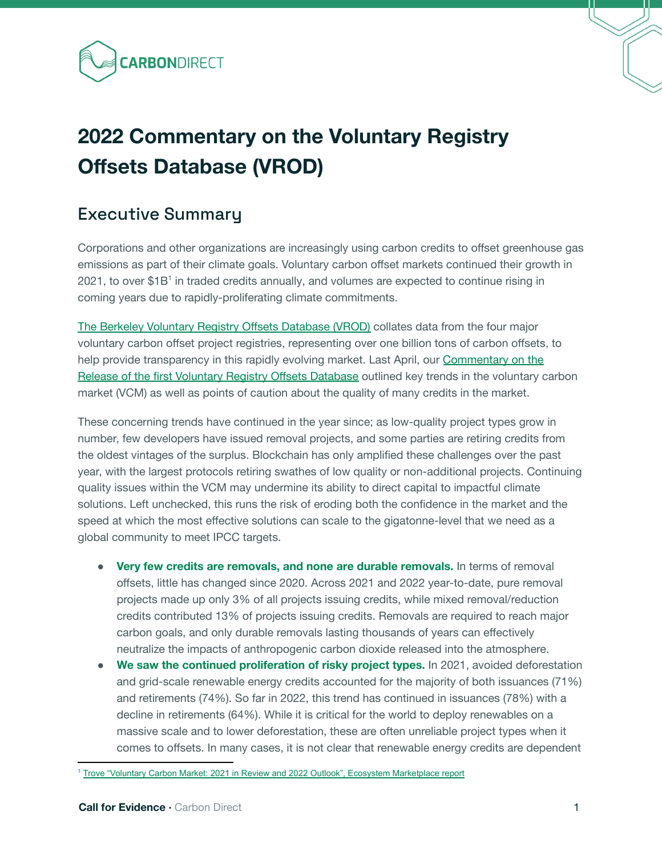

# **2022 Commentary on the Voluntary Registry Offsets Database (VROD)**

# Executive Summary

Corporations and other organizations are increasingly using carbon credits to offset greenhouse gas emissions as part of their climate goals. Voluntary carbon offset markets continued their growth in 2021, to over \$1B<sup>1</sup> in traded credits annually, and volumes are expected to continue rising in coming years due to rapidly-proliferating climate commitments.

The [Berkeley Voluntary Registry Offsets Database \(VROD\)](https://gspp.berkeley.edu/faculty-and-impact/centers/cepp/projects/berkeley-carbon-trading-project/offsets-database) collates data from the four major voluntary carbon offset project registries, representing over one billion tons of carbon offsets, to help provide transparency in this rapidly evolving market. Last April, our [Commentary on the](https://carbon-direct.com/wp-content/uploads/2021/04/CD-Commentary-on-Voluntary-Registry-Offsets-Database_April-2021.pdf) [Release of the first Voluntary Registry Offsets Database](https://carbon-direct.com/wp-content/uploads/2021/04/CD-Commentary-on-Voluntary-Registry-Offsets-Database_April-2021.pdf) outlined key trends in the voluntary carbon market (VCM) as well as points of caution about the quality of many credits in the market.

These concerning trends have continued in the year since; as low-quality project types grow in number, few developers have issued removal projects, and some parties are retiring credits from the oldest vintages of the surplus. Blockchain has only amplified these challenges over the past year, with the largest protocols retiring swathes of low quality or non-additional projects. Continuing quality issues within the VCM may undermine its ability to direct capital to impactful climate solutions. Left unchecked, this runs the risk of eroding both the confidence in the market and the speed at which the most effective solutions can scale to the gigatonne-level that we need as a global community to meet IPCC targets.

- **•** Very few credits are removals, and none are durable removals. In terms of removal offsets, little has changed since 2020. Across 2021 and 2022 year-to-date, pure removal projects made up only 3% of all projects issuing credits, while mixed removal/reduction credits contributed 13% of projects issuing credits. Removals are required to reach major carbon goals, and only durable removals lasting thousands of years can effectively neutralize the impacts of anthropogenic carbon dioxide released into the atmosphere.
- **We saw the continued proliferation of risky project types.** In 2021, avoided deforestation and grid-scale renewable energy credits accounted for the majority of both issuances (71%) and retirements (74%). So far in 2022, this trend has continued in issuances (78%) with a decline in retirements (64%). While it is critical for the world to deploy renewables on a massive scale and to lower deforestation, these are often unreliable project types when it comes to offsets. In many cases, it is not clear that renewable energy credits are dependent

<sup>1</sup> Trove ["Voluntary](https://trove-research.com/research-and-insight/voluntary-carbon-market-2021-year-in-review-and-2022-outlook/) Carbon Market: 2021 in Review and 2022 Outlook", Ecosystem [Marketplace](https://www.ecosystemmarketplace.com/publications/state-of-the-voluntary-carbon-markets-2021/#:~:text=Data%20from%20the%20State%20of,%24472.9M)%2C%20and%20growth%20in) report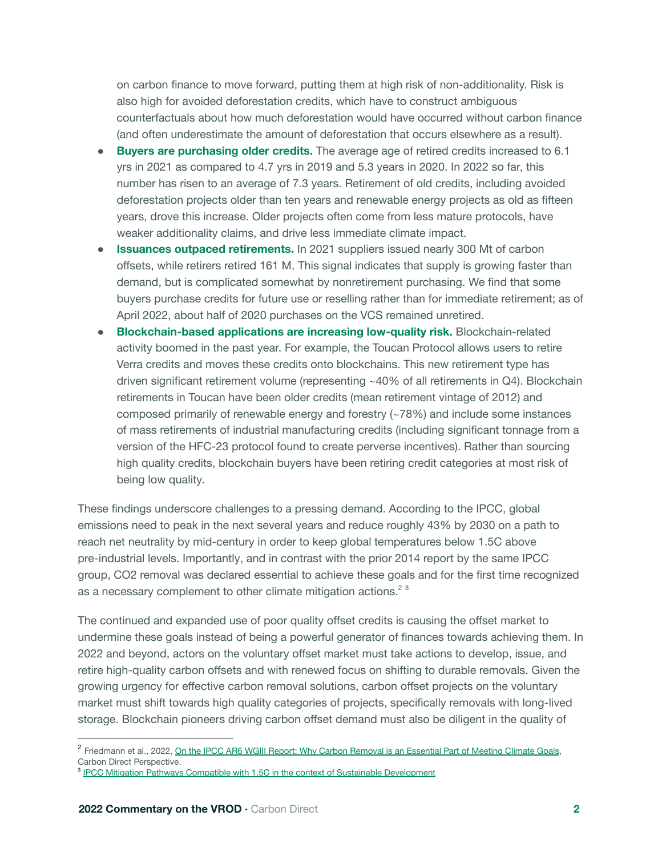on carbon finance to move forward, putting them at high risk of non-additionality. Risk is also high for avoided deforestation credits, which have to construct ambiguous counterfactuals about how much deforestation would have occurred without carbon finance (and often underestimate the amount of deforestation that occurs elsewhere as a result).

- **Buyers are purchasing older credits.** The average age of retired credits increased to 6.1 yrs in 2021 as compared to 4.7 yrs in 2019 and 5.3 years in 2020. In 2022 so far, this number has risen to an average of 7.3 years. Retirement of old credits, including avoided deforestation projects older than ten years and renewable energy projects as old as fifteen years, drove this increase. Older projects often come from less mature protocols, have weaker additionality claims, and drive less immediate climate impact.
- **Issuances outpaced retirements.** In 2021 suppliers issued nearly 300 Mt of carbon offsets, while retirers retired 161 M. This signal indicates that supply is growing faster than demand, but is complicated somewhat by nonretirement purchasing. We find that some buyers purchase credits for future use or reselling rather than for immediate retirement; as of April 2022, about half of 2020 purchases on the VCS remained unretired.
- **Blockchain-based applications are increasing low-quality risk.** Blockchain-related activity boomed in the past year. For example, the Toucan Protocol allows users to retire Verra credits and moves these credits onto blockchains. This new retirement type has driven significant retirement volume (representing ~40% of all retirements in Q4). Blockchain retirements in Toucan have been older credits (mean retirement vintage of 2012) and composed primarily of renewable energy and forestry (~78%) and include some instances of mass retirements of industrial manufacturing credits (including significant tonnage from a version of the HFC-23 protocol found to create perverse incentives). Rather than sourcing high quality credits, blockchain buyers have been retiring credit categories at most risk of being low quality.

These findings underscore challenges to a pressing demand. According to the IPCC, global emissions need to peak in the next several years and reduce roughly 43% by 2030 on a path to reach net neutrality by mid-century in order to keep global temperatures below 1.5C above pre-industrial levels. Importantly, and in contrast with the prior 2014 report by the same IPCC group, CO2 removal was declared essential to achieve these goals and for the first time recognized as a necessary complement to other climate mitigation actions.<sup>23</sup>

The continued and expanded use of poor quality offset credits is causing the offset market to undermine these goals instead of being a powerful generator of finances towards achieving them. In 2022 and beyond, actors on the voluntary offset market must take actions to develop, issue, and retire high-quality carbon offsets and with renewed focus on shifting to durable removals. Given the growing urgency for effective carbon removal solutions, carbon offset projects on the voluntary market must shift towards high quality categories of projects, specifically removals with long-lived storage. Blockchain pioneers driving carbon offset demand must also be diligent in the quality of

<sup>&</sup>lt;sup>2</sup> Friedmann et al., 2022, On the IPCC AR6 WGIII Report: Why Carbon Removal is an [Essential](https://carbon-direct.com/2022/04/ipcc-why-carbon-removal-is-an-essential-part-of-meeting-climate-goals/) Part of Meeting Climate Goals, Carbon Direct Perspective.

<sup>&</sup>lt;sup>3</sup> IPCC Mitigation Pathways Compatible with 1.5C in the context of Sustainable [Development](https://www.ipcc.ch/site/assets/uploads/sites/2/2019/02/SR15_Chapter2_Low_Res.pdf)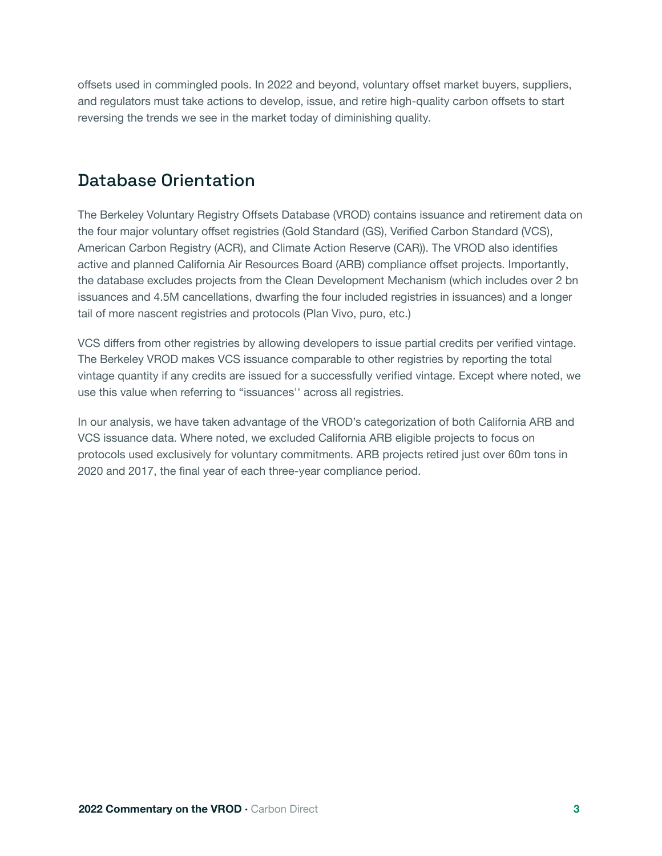offsets used in commingled pools. In 2022 and beyond, voluntary offset market buyers, suppliers, and regulators must take actions to develop, issue, and retire high-quality carbon offsets to start reversing the trends we see in the market today of diminishing quality.

# Database Orientation

The Berkeley Voluntary Registry Offsets Database (VROD) contains issuance and retirement data on the four major voluntary offset registries (Gold Standard (GS), Verified Carbon Standard (VCS), American Carbon Registry (ACR), and Climate Action Reserve (CAR)). The VROD also identifies active and planned California Air Resources Board (ARB) compliance offset projects. Importantly, the database excludes projects from the Clean Development Mechanism (which includes over 2 bn issuances and 4.5M cancellations, dwarfing the four included registries in issuances) and a longer tail of more nascent registries and protocols (Plan Vivo, puro, etc.)

VCS differs from other registries by allowing developers to issue partial credits per verified vintage. The Berkeley VROD makes VCS issuance comparable to other registries by reporting the total vintage quantity if any credits are issued for a successfully verified vintage. Except where noted, we use this value when referring to "issuances'' across all registries.

In our analysis, we have taken advantage of the VROD's categorization of both California ARB and VCS issuance data. Where noted, we excluded California ARB eligible projects to focus on protocols used exclusively for voluntary commitments. ARB projects retired just over 60m tons in 2020 and 2017, the final year of each three-year compliance period.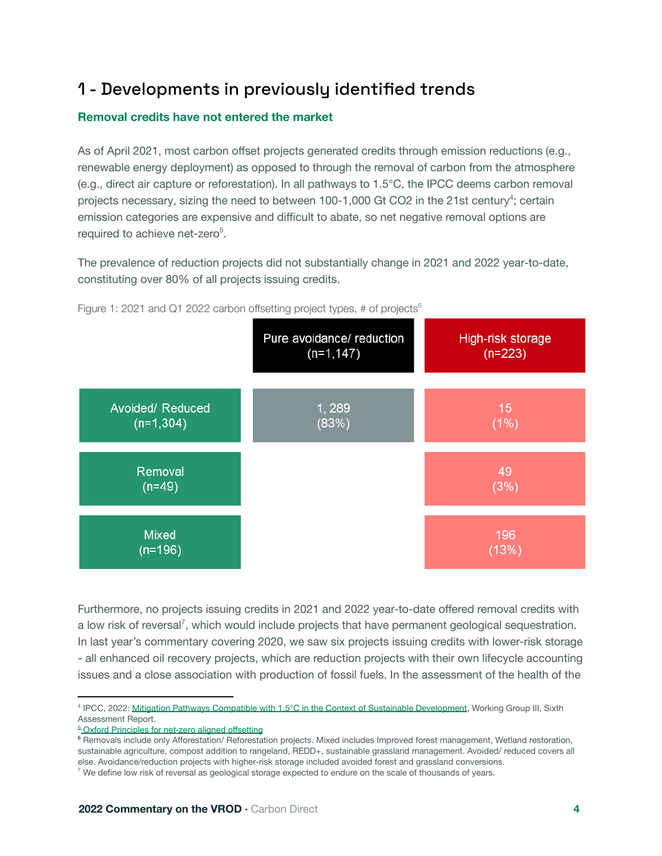# 1 - Developments in previously identified trends

#### **Removal credits have not entered the market**

As of April 2021, most carbon offset projects generated credits through emission reductions (e.g., renewable energy deployment) as opposed to through the removal of carbon from the atmosphere (e.g., direct air capture or reforestation). In all pathways to 1.5°C, the IPCC deems carbon removal projects necessary, sizing the need to between 100-1,000 Gt CO2 in the 21st century<sup>4</sup>; certain emission categories are expensive and difficult to abate, so net negative removal options are required to achieve net-zero<sup>5</sup>.

The prevalence of reduction projects did not substantially change in 2021 and 2022 year-to-date, constituting over 80% of all projects issuing credits.



Figure 1: 2021 and Q1 2022 carbon offsetting project types, # of projects<sup>6</sup>

Furthermore, no projects issuing credits in 2021 and 2022 year-to-date offered removal credits with a low risk of reversal<sup>7</sup>, which would include projects that have permanent geological sequestration. In last year's commentary covering 2020, we saw six projects issuing credits with lower-risk storage - all enhanced oil recovery projects, which are reduction projects with their own lifecycle accounting issues and a close association with production of fossil fuels. In the assessment of the health of the

<sup>5</sup> Oxford [Principles](https://www.smithschool.ox.ac.uk/publications/reports/Oxford-Offsetting-Principles-2020.pdf) for net-zero aligned offsetting

<sup>6</sup> Removals include only Afforestation/ Reforestation projects. Mixed includes Improved forest management, Wetland restoration, sustainable agriculture, compost addition to rangeland, REDD+, sustainable grassland management. Avoided/ reduced covers all else. Avoidance/reduction projects with higher-risk storage included avoided forest and grassland conversions.

<sup>&</sup>lt;sup>4</sup> IPCC, 2022: Mitigation Pathways Compatible with 1.5°C in the Context of Sustainable [Development](https://www.ipcc.ch/site/assets/uploads/sites/2/2019/02/SR15_Chapter2_Low_Res.pdf), Working Group III, Sixth Assessment Report.

 $7$  We define low risk of reversal as geological storage expected to endure on the scale of thousands of years.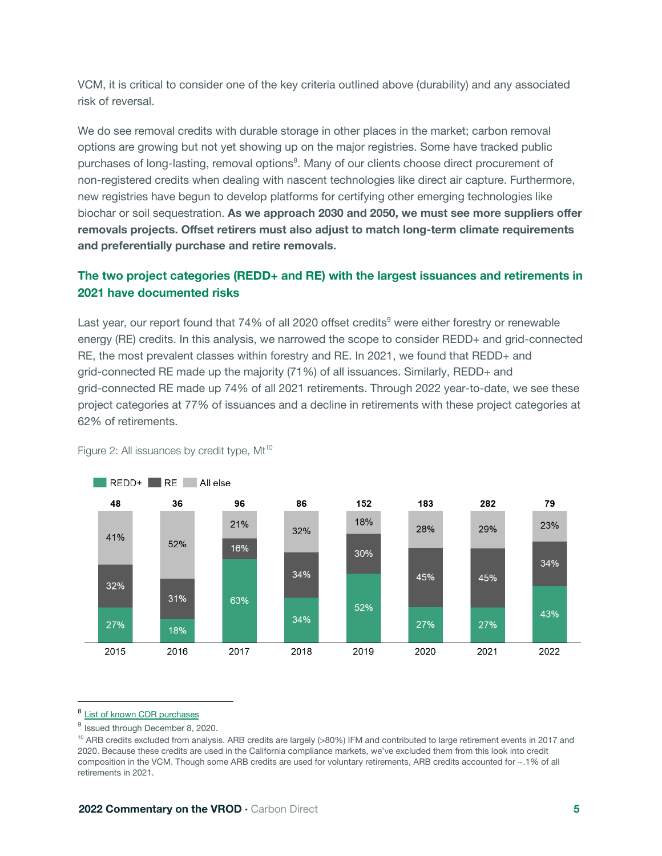VCM, it is critical to consider one of the key criteria outlined above (durability) and any associated risk of reversal.

We do see removal credits with durable storage in other places in the market; carbon removal options are growing but not yet showing up on the major registries. Some have tracked public purchases of long-lasting, removal options<sup>8</sup>. Many of our clients choose direct procurement of non-registered credits when dealing with nascent technologies like direct air capture. Furthermore, new registries have begun to develop platforms for certifying other emerging technologies like biochar or soil sequestration. **As we approach 2030 and 2050, we must see more suppliers offer removals projects. Offset retirers must also adjust to match long-term climate requirements and preferentially purchase and retire removals.**

#### **The two project categories (REDD+ and RE) with the largest issuances and retirements in 2021 have documented risks**

Last year, our report found that 74% of all 2020 offset credits<sup>9</sup> were either forestry or renewable energy (RE) credits. In this analysis, we narrowed the scope to consider REDD+ and grid-connected RE, the most prevalent classes within forestry and RE. In 2021, we found that REDD+ and grid-connected RE made up the majority (71%) of all issuances. Similarly, REDD+ and grid-connected RE made up 74% of all 2021 retirements. Through 2022 year-to-date, we see these project categories at 77% of issuances and a decline in retirements with these project categories at 62% of retirements.



Figure 2: All issuances by credit type, Mt<sup>10</sup>

#### 8 List of known CDR [purchases](https://docs.google.com/spreadsheets/d/1BH_B_Df_7e2l6AH8_8a0aK70nlAJXfCTwfyCgxkL5C8/edit#gid=0)

 $^9$  Issued through December 8, 2020.

<sup>&</sup>lt;sup>10</sup> ARB credits excluded from analysis. ARB credits are largely (>80%) IFM and contributed to large retirement events in 2017 and 2020. Because these credits are used in the California compliance markets, we've excluded them from this look into credit composition in the VCM. Though some ARB credits are used for voluntary retirements, ARB credits accounted for ~.1% of all retirements in 2021.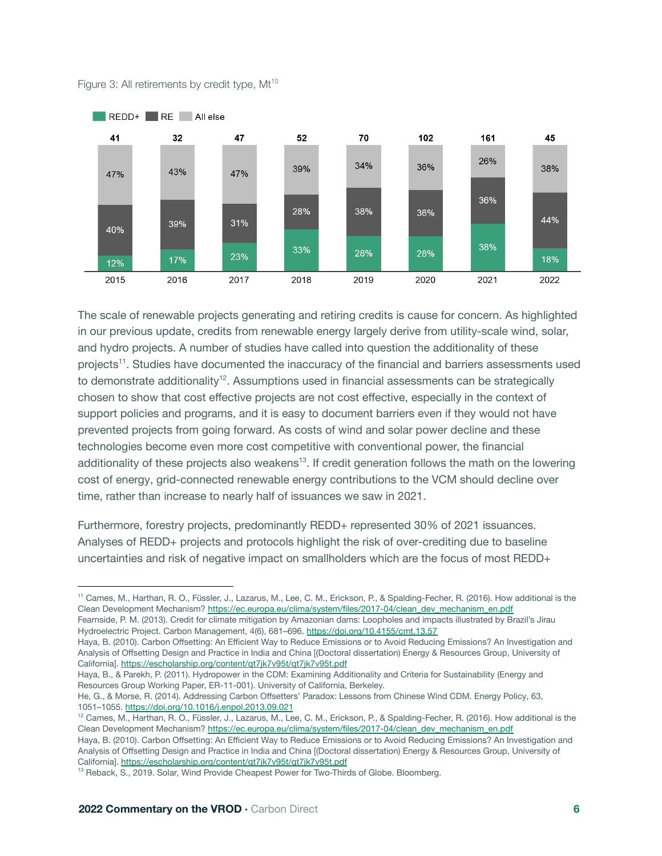

Figure 3: All retirements by credit type, Mt<sup>10</sup>

The scale of renewable projects generating and retiring credits is cause for concern. As highlighted in our previous update, credits from renewable energy largely derive from utility-scale wind, solar, and hydro projects. A number of studies have called into question the additionality of these projects<sup>11</sup>. Studies have documented the inaccuracy of the financial and barriers assessments used to demonstrate additionality<sup>12</sup>. Assumptions used in financial assessments can be strategically chosen to show that cost effective projects are not cost effective, especially in the context of support policies and programs, and it is easy to document barriers even if they would not have prevented projects from going forward. As costs of wind and solar power decline and these technologies become even more cost competitive with conventional power, the financial additionality of these projects also weakens<sup>13</sup>. If credit generation follows the math on the lowering cost of energy, grid-connected renewable energy contributions to the VCM should decline over time, rather than increase to nearly half of issuances we saw in 2021.

Furthermore, forestry projects, predominantly REDD+ represented 30% of 2021 issuances. Analyses of REDD+ projects and protocols highlight the risk of over-crediting due to baseline uncertainties and risk of negative impact on smallholders which are the focus of most REDD+

<sup>11</sup> Cames, M., Harthan, R. O., Füssler, J., Lazarus, M., Lee, C. M., Erickson, P., & Spalding-Fecher, R. (2016). How additional is the Clean Development Mechanism? [https://ec.europa.eu/clima/system/files/2017-04/clean\\_dev\\_mechanism\\_en.pdf](https://ec.europa.eu/clima/system/files/2017-04/clean_dev_mechanism_en.pdf) Fearnside, P. M. (2013). Credit for climate mitigation by Amazonian dams: Loopholes and impacts illustrated by Brazil's Jirau

Hydroelectric Project. Carbon Management, 4(6), 681–696. <https://doi.org/10.4155/cmt.13.57>

Haya, B. (2010). Carbon Offsetting: An Efficient Way to Reduce Emissions or to Avoid Reducing Emissions? An Investigation and Analysis of Offsetting Design and Practice in India and China [(Doctoral dissertation) Energy & Resources Group, University of California]. <https://escholarship.org/content/qt7jk7v95t/qt7jk7v95t.pdf>

Haya, B., & Parekh, P. (2011). Hydropower in the CDM: Examining Additionality and Criteria for Sustainability (Energy and Resources Group Working Paper, ER-11-001). University of California, Berkeley.

He, G., & Morse, R. (2014). Addressing Carbon Offsetters' Paradox: Lessons from Chinese Wind CDM. Energy Policy, 63, 1051–1055. <https://doi.org/10.1016/j.enpol.2013.09.021>

<sup>12</sup> Cames, M., Harthan, R. O., Füssler, J., Lazarus, M., Lee, C. M., Erickson, P., & Spalding-Fecher, R. (2016). How additional is the Clean Development Mechanism? [https://ec.europa.eu/clima/system/files/2017-04/clean\\_dev\\_mechanism\\_en.pdf](https://ec.europa.eu/clima/system/files/2017-04/clean_dev_mechanism_en.pdf)

Haya, B. (2010). Carbon Offsetting: An Efficient Way to Reduce Emissions or to Avoid Reducing Emissions? An Investigation and Analysis of Offsetting Design and Practice in India and China [(Doctoral dissertation) Energy & Resources Group, University of California]. <https://escholarship.org/content/qt7jk7v95t/qt7jk7v95t.pdf>

<sup>&</sup>lt;sup>13</sup> Reback, S., 2019. Solar, Wind Provide Cheapest Power for Two-Thirds of Globe. Bloomberg.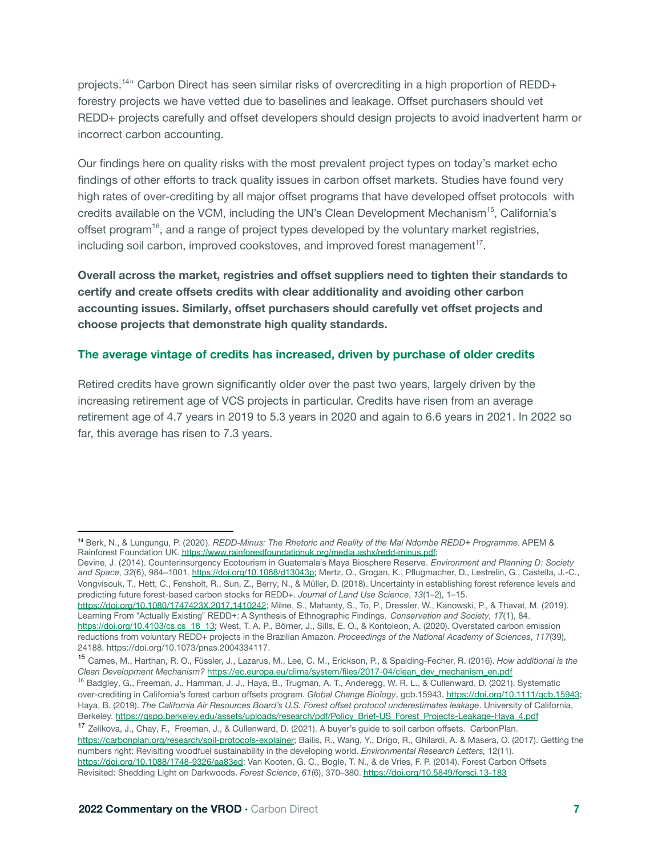projects. <sup>14</sup>" Carbon Direct has seen similar risks of overcrediting in a high proportion of REDD+ forestry projects we have vetted due to baselines and leakage. Offset purchasers should vet REDD+ projects carefully and offset developers should design projects to avoid inadvertent harm or incorrect carbon accounting.

Our findings here on quality risks with the most prevalent project types on today's market echo findings of other efforts to track quality issues in carbon offset markets. Studies have found very high rates of over-crediting by all major offset programs that have developed offset protocols with credits available on the VCM, including the UN's Clean Development Mechanism<sup>15</sup>, California's offset program<sup>16</sup>, and a range of project types developed by the voluntary market registries, including soil carbon, improved cookstoves, and improved forest management<sup>17</sup>.

**Overall across the market, registries and offset suppliers need to tighten their standards to certify and create offsets credits with clear additionality and avoiding other carbon accounting issues. Similarly, offset purchasers should carefully vet offset projects and choose projects that demonstrate high quality standards.**

#### **The average vintage of credits has increased, driven by purchase of older credits**

Retired credits have grown significantly older over the past two years, largely driven by the increasing retirement age of VCS projects in particular. Credits have risen from an average retirement age of 4.7 years in 2019 to 5.3 years in 2020 and again to 6.6 years in 2021. In 2022 so far, this average has risen to 7.3 years.

Devine, J. (2014). Counterinsurgency Ecotourism in Guatemala's Maya Biosphere Reserve. *Environment and Planning D: Society and Space*, *32*(6), 984–1001. [https://doi.org/10.1068/d13043p;](https://doi.org/10.1068/d13043p) Mertz, O., Grogan, K., Pflugmacher, D., Lestrelin, G., Castella, J.-C., Vongvisouk, T., Hett, C., Fensholt, R., Sun, Z., Berry, N., & Müller, D. (2018). Uncertainty in establishing forest reference levels and predicting future forest-based carbon stocks for REDD+. *Journal of Land Use Science*, *13*(1–2), 1–15.

<https://doi.org/10.1080/1747423X.2017.1410242>; Milne, S., Mahanty, S., To, P., Dressler, W., Kanowski, P., & Thavat, M. (2019). Learning From "Actually Existing" REDD+: A Synthesis of Ethnographic Findings. *Conservation and Society*, *17*(1), 84. [https://doi.org/10.4103/cs.cs\\_18\\_13;](https://doi.org/10.4103/cs.cs_18_13) West, T. A. P., Börner, J., Sills, E. O., & Kontoleon, A. (2020). [Overstated](https://www.zotero.org/google-docs/?mYHBpU) carbon emission reductions from voluntary REDD+ projects in the Brazilian Amazon. *[Proceedings](https://www.zotero.org/google-docs/?mYHBpU) of the National Academy of Sciences*, *117*(39), [24188.](https://www.zotero.org/google-docs/?mYHBpU) [https://doi.org/10.1073/pnas.2004334117.](https://doi.org/10.1073/pnas.2004334117)

<sup>14</sup> Berk, N., & Lungungu, P. (2020). *REDD-Minus: The Rhetoric and Reality of the Mai Ndombe REDD+ Programme*. APEM & Rainforest Foundation UK. [https://www.rainforestfoundationuk.org/media.ashx/redd-minus.pdf;](https://www.rainforestfoundationuk.org/media.ashx/redd-minus.pdf)

<sup>15</sup> Cames, M., Harthan, R. O., Füssler, J., Lazarus, M., Lee, C. M., Erickson, P., & Spalding-Fecher, R. (2016). *How additional is the Clean Development Mechanism?* [https://ec.europa.eu/clima/system/files/2017-04/clean\\_dev\\_mechanism\\_en.pdf](https://ec.europa.eu/clima/system/files/2017-04/clean_dev_mechanism_en.pdf)

<sup>&</sup>lt;sup>16</sup> Badgley, G., Freeman, J., Hamman, J. J., Haya, B., Trugman, A. T., Anderegg, W. R. L., & Cullenward, D. (2021). Systematic over‐crediting in California's forest carbon offsets program. *Global Change Biology*, gcb.15943. <https://doi.org/10.1111/gcb.15943>; Haya, B. (2019). *The California Air Resources Board's U.S. Forest offset protocol underestimates leakage*. University of California, Berkeley. [https://gspp.berkeley.edu/assets/uploads/research/pdf/Policy\\_Brief-US\\_Forest\\_Projects-Leakage-Haya\\_4.pdf](https://gspp.berkeley.edu/assets/uploads/research/pdf/Policy_Brief-US_Forest_Projects-Leakage-Haya_4.pdf)

<sup>17</sup> Zelikova, J., Chay, F., Freeman, J., & Cullenward, D. (2021). A buyer's guide to soil carbon offsets. CarbonPlan. <https://carbonplan.org/research/soil-protocols-explainer>; Bailis, R., Wang, Y., Drigo, R., Ghilardi, A. & Masera, O. (2017). Getting the numbers right: Revisiting woodfuel sustainability in the developing world. *Environmental Research Letters,* 12(11). [https://doi.org/10.1088/1748-9326/aa83ed;](https://doi.org/10.1088/1748-9326/aa83ed) Van Kooten, G. C., Bogle, T. N., & de Vries, F. P. (2014). Forest Carbon Offsets Revisited: Shedding Light on Darkwoods. *Forest Science*, *61*(6), 370–380. https://doi.org/10.5849/forsci.13-183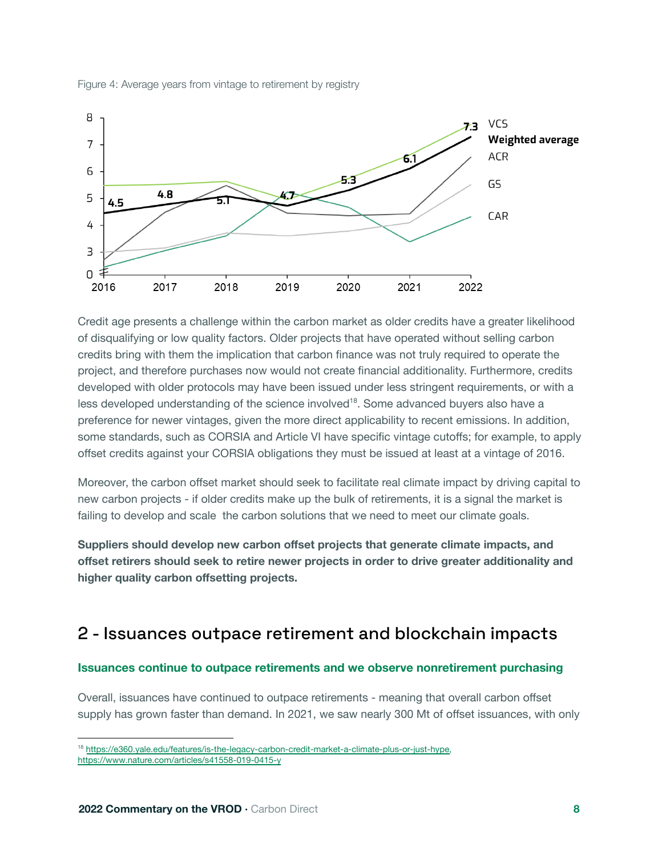



Credit age presents a challenge within the carbon market as older credits have a greater likelihood of disqualifying or low quality factors. Older projects that have operated without selling carbon credits bring with them the implication that carbon finance was not truly required to operate the project, and therefore purchases now would not create financial additionality. Furthermore, credits developed with older protocols may have been issued under less stringent requirements, or with a less developed understanding of the science involved<sup>18</sup>. Some advanced buyers also have a preference for newer vintages, given the more direct applicability to recent emissions. In addition, some standards, such as CORSIA and Article VI have specific vintage cutoffs; for example, to apply offset credits against your CORSIA obligations they must be issued at least at a vintage of 2016.

Moreover, the carbon offset market should seek to facilitate real climate impact by driving capital to new carbon projects - if older credits make up the bulk of retirements, it is a signal the market is failing to develop and scale the carbon solutions that we need to meet our climate goals.

**Suppliers should develop new carbon offset projects that generate climate impacts, and offset retirers should seek to retire newer projects in order to drive greater additionality and higher quality carbon offsetting projects.**

### 2 - Issuances outpace retirement and blockchain impacts

#### **Issuances continue to outpace retirements and we observe nonretirement purchasing**

Overall, issuances have continued to outpace retirements - meaning that overall carbon offset supply has grown faster than demand. In 2021, we saw nearly 300 Mt of offset issuances, with only

<sup>&</sup>lt;sup>18</sup> [https://e360.yale.edu/features/is-the-legacy-carbon-credit-market-a-climate-plus-or-just-hype,](https://e360.yale.edu/features/is-the-legacy-carbon-credit-market-a-climate-plus-or-just-hype) https://www.nature.com/articles/s41558-019-0415-y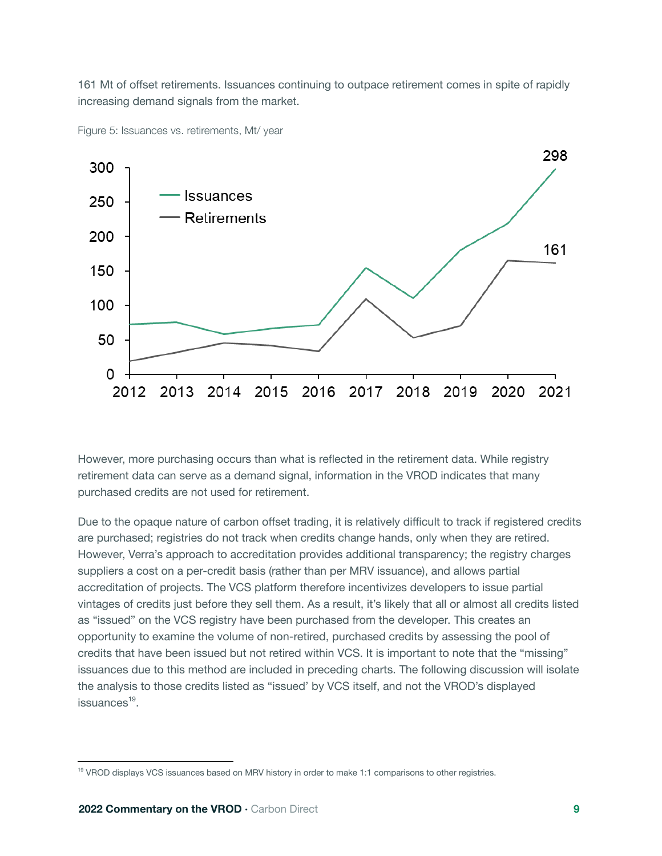161 Mt of offset retirements. Issuances continuing to outpace retirement comes in spite of rapidly increasing demand signals from the market.



Figure 5: Issuances vs. retirements, Mt/ year

However, more purchasing occurs than what is reflected in the retirement data. While registry retirement data can serve as a demand signal, information in the VROD indicates that many purchased credits are not used for retirement.

Due to the opaque nature of carbon offset trading, it is relatively difficult to track if registered credits are purchased; registries do not track when credits change hands, only when they are retired. However, Verra's approach to accreditation provides additional transparency; the registry charges suppliers a cost on a per-credit basis (rather than per MRV issuance), and allows partial accreditation of projects. The VCS platform therefore incentivizes developers to issue partial vintages of credits just before they sell them. As a result, it's likely that all or almost all credits listed as "issued" on the VCS registry have been purchased from the developer. This creates an opportunity to examine the volume of non-retired, purchased credits by assessing the pool of credits that have been issued but not retired within VCS. It is important to note that the "missing" issuances due to this method are included in preceding charts. The following discussion will isolate the analysis to those credits listed as "issued' by VCS itself, and not the VROD's displayed issuances<sup>19</sup>.

<sup>&</sup>lt;sup>19</sup> VROD displays VCS issuances based on MRV history in order to make 1:1 comparisons to other registries.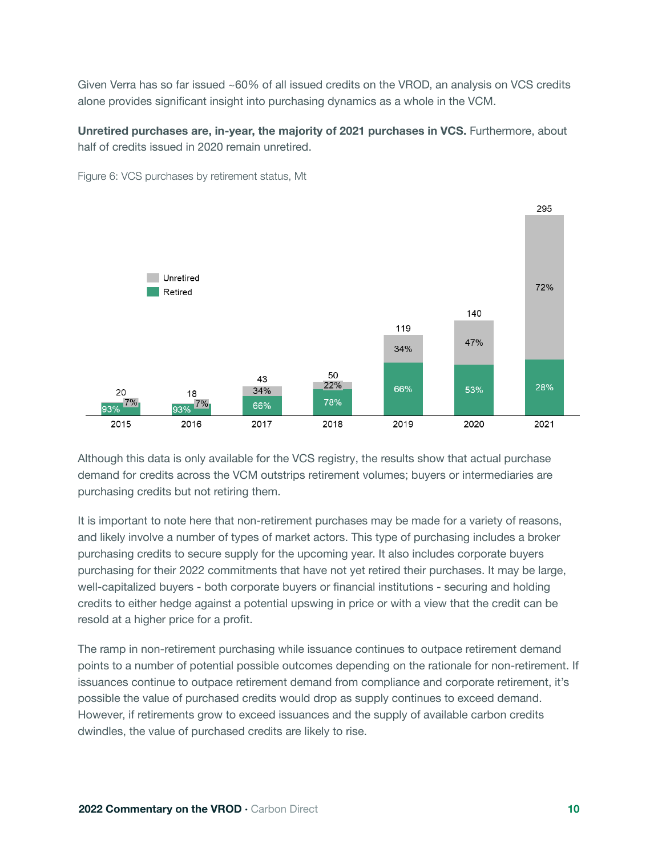Given Verra has so far issued ~60% of all issued credits on the VROD, an analysis on VCS credits alone provides significant insight into purchasing dynamics as a whole in the VCM.

#### **Unretired purchases are, in-year, the majority of 2021 purchases in VCS.** Furthermore, about half of credits issued in 2020 remain unretired.



Figure 6: VCS purchases by retirement status, Mt

Although this data is only available for the VCS registry, the results show that actual purchase demand for credits across the VCM outstrips retirement volumes; buyers or intermediaries are purchasing credits but not retiring them.

It is important to note here that non-retirement purchases may be made for a variety of reasons, and likely involve a number of types of market actors. This type of purchasing includes a broker purchasing credits to secure supply for the upcoming year. It also includes corporate buyers purchasing for their 2022 commitments that have not yet retired their purchases. It may be large, well-capitalized buyers - both corporate buyers or financial institutions - securing and holding credits to either hedge against a potential upswing in price or with a view that the credit can be resold at a higher price for a profit.

The ramp in non-retirement purchasing while issuance continues to outpace retirement demand points to a number of potential possible outcomes depending on the rationale for non-retirement. If issuances continue to outpace retirement demand from compliance and corporate retirement, it's possible the value of purchased credits would drop as supply continues to exceed demand. However, if retirements grow to exceed issuances and the supply of available carbon credits dwindles, the value of purchased credits are likely to rise.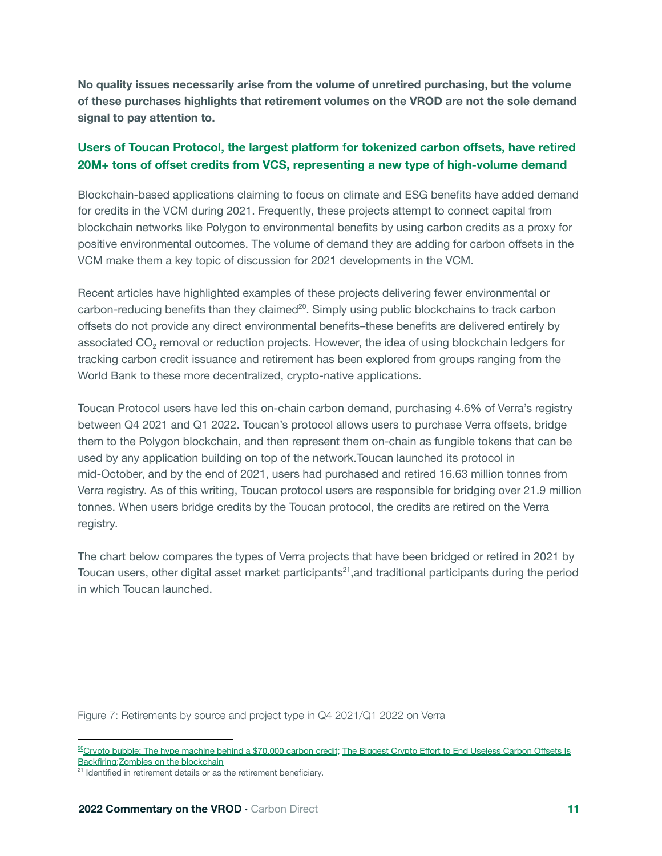**No quality issues necessarily arise from the volume of unretired purchasing, but the volume of these purchases highlights that retirement volumes on the VROD are not the sole demand signal to pay attention to.**

#### **Users of Toucan Protocol, the largest platform for tokenized carbon offsets, have retired 20M+ tons of offset credits from VCS, representing a new type of high-volume demand**

Blockchain-based applications claiming to focus on climate and ESG benefits have added demand for credits in the VCM during 2021. Frequently, these projects attempt to connect capital from blockchain networks like Polygon to environmental benefits by using carbon credits as a proxy for positive environmental outcomes. The volume of demand they are adding for carbon offsets in the VCM make them a key topic of discussion for 2021 developments in the VCM.

Recent articles have highlighted examples of these projects delivering fewer environmental or carbon-reducing benefits than they claimed<sup>20</sup>. Simply using public blockchains to track carbon offsets do not provide any direct environmental benefits–these benefits are delivered entirely by associated CO<sub>2</sub> removal or reduction projects. However, the idea of using blockchain ledgers for tracking carbon credit issuance and retirement has been explored from groups ranging from the World Bank to these more decentralized, crypto-native applications.

Toucan Protocol users have led this on-chain carbon demand, purchasing 4.6% of Verra's registry between Q4 2021 and Q1 2022. Toucan's protocol allows users to purchase Verra offsets, bridge them to the Polygon blockchain, and then represent them on-chain as fungible tokens that can be used by any application building on top of the network.Toucan launched its protocol in mid-October, and by the end of 2021, users had purchased and retired 16.63 million tonnes from Verra registry. As of this writing, Toucan protocol users are responsible for bridging over 21.9 million tonnes. When users bridge credits by the Toucan protocol, the credits are retired on the Verra registry.

The chart below compares the types of Verra projects that have been bridged or retired in 2021 by Toucan users, other digital asset market participants<sup>21</sup>, and traditional participants during the period in which Toucan launched.

Figure 7: Retirements by source and project type in Q4 2021/Q1 2022 on Verra

 $20$ Crypto bubble: The hype [machine](https://www.climatechangenews.com/2022/01/28/crypto-bubble-hype-machine-behind-70000-carbon-credit/) behind a \$70,000 carbon credit; The Biggest Crypto Effort to End [Useless](https://www.bloomberg.com/news/articles/2022-04-07/the-biggest-crypto-effort-to-end-useless-carbon-offsets-is-backfiring) Carbon Offsets Is [Backfiring;](https://www.bloomberg.com/news/articles/2022-04-07/the-biggest-crypto-effort-to-end-useless-carbon-offsets-is-backfiring)Zombies on the [blockchain](https://carbonplan.org/research/toucan-crypto-offsets)

<sup>&</sup>lt;sup>21</sup> Identified in retirement details or as the retirement beneficiary.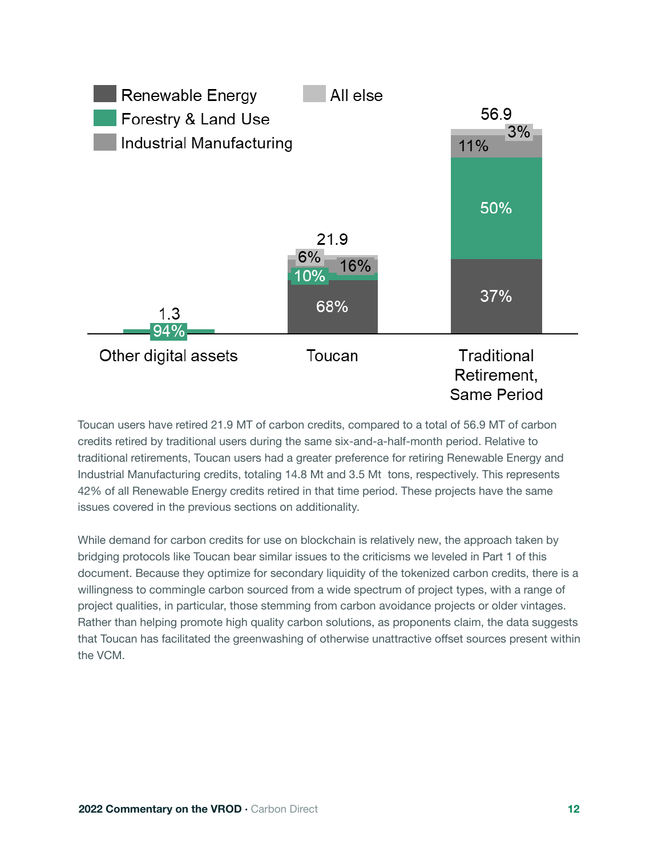

Toucan users have retired 21.9 MT of carbon credits, compared to a total of 56.9 MT of carbon credits retired by traditional users during the same six-and-a-half-month period. Relative to traditional retirements, Toucan users had a greater preference for retiring Renewable Energy and Industrial Manufacturing credits, totaling 14.8 Mt and 3.5 Mt tons, respectively. This represents 42% of all Renewable Energy credits retired in that time period. These projects have the same issues covered in the previous sections on additionality.

While demand for carbon credits for use on blockchain is relatively new, the approach taken by bridging protocols like Toucan bear similar issues to the criticisms we leveled in Part 1 of this document. Because they optimize for secondary liquidity of the tokenized carbon credits, there is a willingness to commingle carbon sourced from a wide spectrum of project types, with a range of project qualities, in particular, those stemming from carbon avoidance projects or older vintages. Rather than helping promote high quality carbon solutions, as proponents claim, the data suggests that Toucan has facilitated the greenwashing of otherwise unattractive offset sources present within the VCM.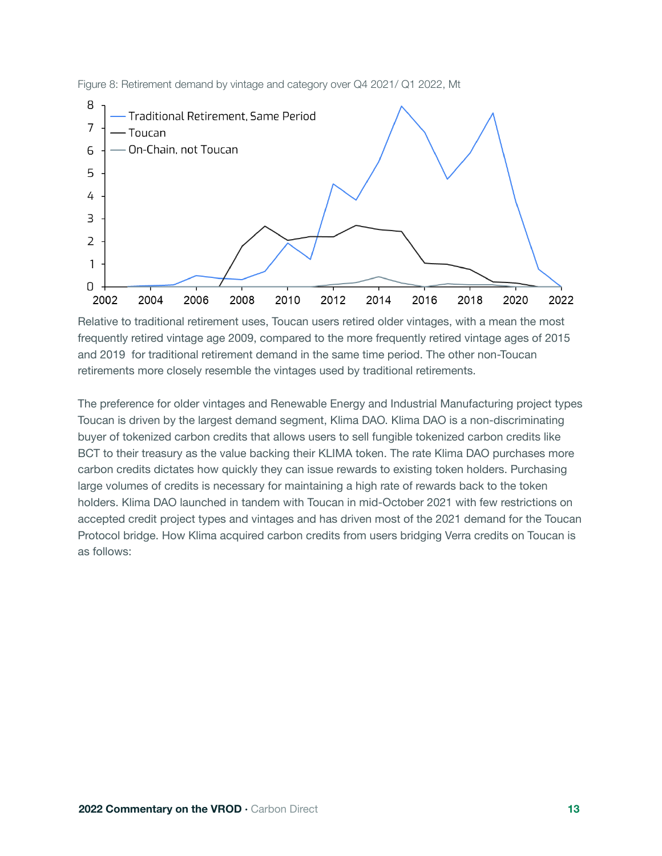

Figure 8: Retirement demand by vintage and category over Q4 2021/ Q1 2022, Mt

Relative to traditional retirement uses, Toucan users retired older vintages, with a mean the most frequently retired vintage age 2009, compared to the more frequently retired vintage ages of 2015 and 2019 for traditional retirement demand in the same time period. The other non-Toucan retirements more closely resemble the vintages used by traditional retirements.

The preference for older vintages and Renewable Energy and Industrial Manufacturing project types Toucan is driven by the largest demand segment, Klima DAO. Klima DAO is a non-discriminating buyer of tokenized carbon credits that allows users to sell fungible tokenized carbon credits like BCT to their treasury as the value backing their KLIMA token. The rate Klima DAO purchases more carbon credits dictates how quickly they can issue rewards to existing token holders. Purchasing large volumes of credits is necessary for maintaining a high rate of rewards back to the token holders. Klima DAO launched in tandem with Toucan in mid-October 2021 with few restrictions on accepted credit project types and vintages and has driven most of the 2021 demand for the Toucan Protocol bridge. How Klima acquired carbon credits from users bridging Verra credits on Toucan is as follows: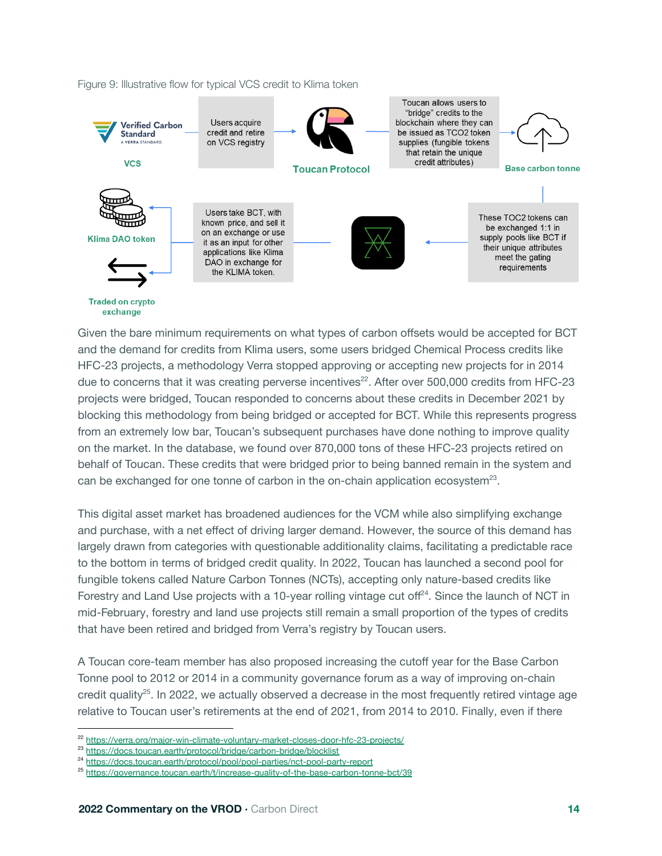#### Figure 9: Illustrative flow for typical VCS credit to Klima token



Given the bare minimum requirements on what types of carbon offsets would be accepted for BCT and the demand for credits from Klima users, some users bridged Chemical Process credits like HFC-23 projects, a methodology Verra stopped approving or accepting new projects for in 2014 due to concerns that it was creating perverse incentives<sup>22</sup>. After over 500,000 credits from HFC-23 projects were bridged, Toucan responded to concerns about these credits in December 2021 by blocking this methodology from being bridged or accepted for BCT. While this represents progress from an extremely low bar, Toucan's subsequent purchases have done nothing to improve quality on the market. In the database, we found over 870,000 tons of these HFC-23 projects retired on behalf of Toucan. These credits that were bridged prior to being banned remain in the system and can be exchanged for one tonne of carbon in the on-chain application ecosystem $^{23}$ .

This digital asset market has broadened audiences for the VCM while also simplifying exchange and purchase, with a net effect of driving larger demand. However, the source of this demand has largely drawn from categories with questionable additionality claims, facilitating a predictable race to the bottom in terms of bridged credit quality. In 2022, Toucan has launched a second pool for fungible tokens called Nature Carbon Tonnes (NCTs), accepting only nature-based credits like Forestry and Land Use projects with a 10-year rolling vintage cut off<sup>24</sup>. Since the launch of NCT in mid-February, forestry and land use projects still remain a small proportion of the types of credits that have been retired and bridged from Verra's registry by Toucan users.

A Toucan core-team member has also proposed increasing the cutoff year for the Base Carbon Tonne pool to 2012 or 2014 in a community governance forum as a way of improving on-chain credit quality<sup>25</sup>. In 2022, we actually observed a decrease in the most frequently retired vintage age relative to Toucan user's retirements at the end of 2021, from 2014 to 2010. Finally, even if there

<sup>&</sup>lt;sup>22</sup> https://verra.org/major-win-climate-voluntary-market-closes-door-hfc-23-projects/

<sup>23</sup> https://docs.toucan.earth/protocol/bridge/carbon-bridge/blocklist

<sup>24</sup> https://docs.toucan.earth/protocol/pool/pool-parties/nct-pool-party-report

<sup>25</sup> https://governance.toucan.earth/t/increase-quality-of-the-base-carbon-tonne-bct/39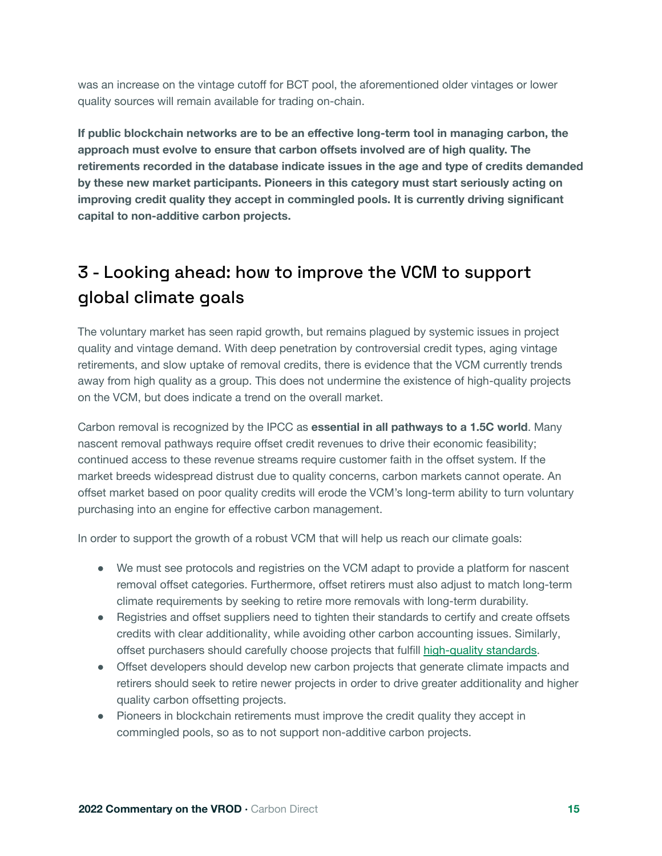was an increase on the vintage cutoff for BCT pool, the aforementioned older vintages or lower quality sources will remain available for trading on-chain.

**If public blockchain networks are to be an effective long-term tool in managing carbon, the approach must evolve to ensure that carbon offsets involved are of high quality. The retirements recorded in the database indicate issues in the age and type of credits demanded by these new market participants. Pioneers in this category must start seriously acting on improving credit quality they accept in commingled pools. It is currently driving significant capital to non-additive carbon projects.**

# 3 - Looking ahead: how to improve the VCM to support global climate goals

The voluntary market has seen rapid growth, but remains plagued by systemic issues in project quality and vintage demand. With deep penetration by controversial credit types, aging vintage retirements, and slow uptake of removal credits, there is evidence that the VCM currently trends away from high quality as a group. This does not undermine the existence of high-quality projects on the VCM, but does indicate a trend on the overall market.

Carbon removal is recognized by the IPCC as **essential in all pathways to a 1.5C world**. Many nascent removal pathways require offset credit revenues to drive their economic feasibility; continued access to these revenue streams require customer faith in the offset system. If the market breeds widespread distrust due to quality concerns, carbon markets cannot operate. An offset market based on poor quality credits will erode the VCM's long-term ability to turn voluntary purchasing into an engine for effective carbon management.

In order to support the growth of a robust VCM that will help us reach our climate goals:

- We must see protocols and registries on the VCM adapt to provide a platform for nascent removal offset categories. Furthermore, offset retirers must also adjust to match long-term climate requirements by seeking to retire more removals with long-term durability.
- Registries and offset suppliers need to tighten their standards to certify and create offsets credits with clear additionality, while avoiding other carbon accounting issues. Similarly, offset purchasers should carefully choose projects that fulfill [high-quality standards.](https://query.prod.cms.rt.microsoft.com/cms/api/am/binary/RWGG6f)
- Offset developers should develop new carbon projects that generate climate impacts and retirers should seek to retire newer projects in order to drive greater additionality and higher quality carbon offsetting projects.
- Pioneers in blockchain retirements must improve the credit quality they accept in commingled pools, so as to not support non-additive carbon projects.